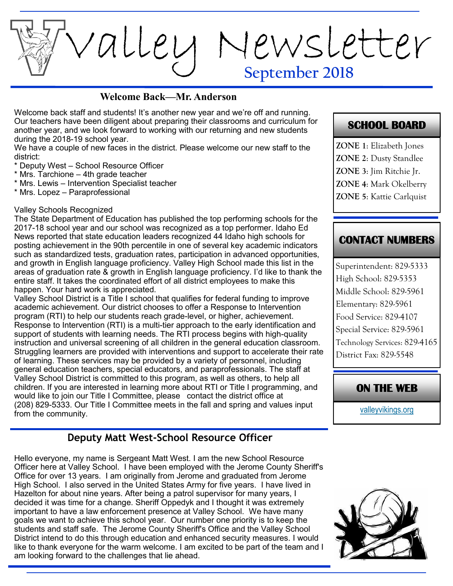**September 2018** Valley Newsletter

#### **Welcome Back—Mr. Anderson**

Welcome back staff and students! It's another new year and we're off and running. Our teachers have been diligent about preparing their classrooms and curriculum for another year, and we look forward to working with our returning and new students during the 2018-19 school year.

We have a couple of new faces in the district. Please welcome our new staff to the district:

\* Deputy West – School Resource Officer

- \* Mrs. Tarchione 4th grade teacher
- \* Mrs. Lewis Intervention Specialist teacher
- \* Mrs. Lopez Paraprofessional

#### Valley Schools Recognized

The State Department of Education has published the top performing schools for the 2017-18 school year and our school was recognized as a top performer. Idaho Ed News reported that state education leaders recognized 44 Idaho high schools for posting achievement in the 90th percentile in one of several key academic indicators such as standardized tests, graduation rates, participation in advanced opportunities, and growth in English language proficiency. Valley High School made this list in the areas of graduation rate & growth in English language proficiency. I'd like to thank the entire staff. It takes the coordinated effort of all district employees to make this happen. Your hard work is appreciated.

Valley School District is a Title I school that qualifies for federal funding to improve academic achievement. Our district chooses to offer a Response to Intervention program (RTI) to help our students reach grade-level, or higher, achievement. Response to Intervention (RTI) is a multi-tier approach to the early identification and support of students with learning needs. The RTI process begins with high-quality instruction and universal screening of all children in the general education classroom. Struggling learners are provided with interventions and support to accelerate their rate of learning. These services may be provided by a variety of personnel, including general education teachers, special educators, and paraprofessionals. The staff at Valley School District is committed to this program, as well as others, to help all children. If you are interested in learning more about RTI or Title I programming, and would like to join our Title I Committee, please contact the district office at (208) 829-5333. Our Title I Committee meets in the fall and spring and values input from the community.

#### **Deputy Matt West-School Resource Officer**

Hello everyone, my name is Sergeant Matt West. I am the new School Resource Officer here at Valley School. I have been employed with the Jerome County Sheriff's Office for over 13 years. I am originally from Jerome and graduated from Jerome High School. I also served in the United States Army for five years. I have lived in Hazelton for about nine years. After being a patrol supervisor for many years, I decided it was time for a change. Sheriff Oppedyk and I thought it was extremely important to have a law enforcement presence at Valley School. We have many goals we want to achieve this school year. Our number one priority is to keep the students and staff safe. The Jerome County Sheriff's Office and the Valley School District intend to do this through education and enhanced security measures. I would like to thank everyone for the warm welcome. I am excited to be part of the team and I am looking forward to the challenges that lie ahead.

#### **SCHOOL BOARD**

**ZONE 1**: Elizabeth Jones **ZONE 2**: Dusty Standlee **ZONE 3**: Jim Ritchie Jr. **ZONE 4**: Mark Okelberry

**ZONE 5**: Kattie Carlquist

#### **CONTACT NUMBERS**

Superintendent: 829-5333 High School: 829-5353 Middle School: 829-5961 Elementary: 829-5961 Food Service: 829-4107 Special Service: 829-5961 Technology Services: 829-4165 District Fax: 829-5548

#### **ON THE WEB**

[valleyvikings.org](http://www.valleyvikings.org/)

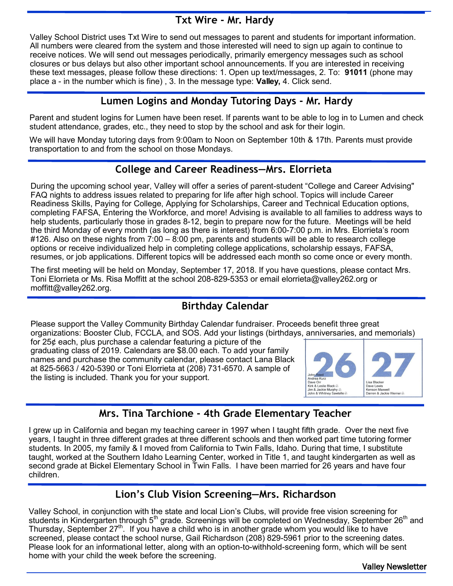## **Txt Wire - Mr. Hardy**

Valley School District uses Txt Wire to send out messages to parent and students for important information. All numbers were cleared from the system and those interested will need to sign up again to continue to receive notices. We will send out messages periodically, primarily emergency messages such as school closures or bus delays but also other important school announcements. If you are interested in receiving these text messages, please follow these directions: 1. Open up text/messages, 2. To: **91011** (phone may place a - in the number which is fine) , 3. In the message type: **Valley,** 4. Click send.

## **Lumen Logins and Monday Tutoring Days - Mr. Hardy**

Parent and student logins for Lumen have been reset. If parents want to be able to log in to Lumen and check student attendance, grades, etc., they need to stop by the school and ask for their login.

We will have Monday tutoring days from 9:00am to Noon on September 10th & 17th. Parents must provide transportation to and from the school on those Mondays.

## **College and Career Readiness—Mrs. Elorrieta**

During the upcoming school year, Valley will offer a series of parent-student "College and Career Advising" FAQ nights to address issues related to preparing for life after high school. Topics will include Career Readiness Skills, Paying for College, Applying for Scholarships, Career and Technical Education options, completing FAFSA, Entering the Workforce, and more! Advising is available to all families to address ways to help students, particularly those in grades 8-12, begin to prepare now for the future. Meetings will be held the third Monday of every month (as long as there is interest) from 6:00-7:00 p.m. in Mrs. Elorrieta's room #126. Also on these nights from 7:00 – 8:00 pm, parents and students will be able to research college options or receive individualized help in completing college applications, scholarship essays, FAFSA, resumes, or job applications. Different topics will be addressed each month so come once or every month.

The first meeting will be held on Monday, September 17, 2018. If you have questions, please contact Mrs. Toni Elorrieta or Ms. Risa Moffitt at the school 208-829-5353 or email elorrieta@valley262.org or moffitt@valley262.org.

# **Birthday Calendar**

Please support the Valley Community Birthday Calendar fundraiser. Proceeds benefit three great organizations: Booster Club, FCCLA, and SOS. Add your listings (birthdays, anniversaries, and memorials)

for 25¢ each, plus purchase a calendar featuring a picture of the graduating class of 2019. Calendars are \$8.00 each. To add your family names and purchase the community calendar, please contact Lana Black at 825-5663 / 420-5390 or Toni Elorrieta at (208) 731-6570. A sample of the listing is included. Thank you for your support.



## **Mrs. Tina Tarchione - 4th Grade Elementary Teacher**

I grew up in California and began my teaching career in 1997 when I taught fifth grade. Over the next five years, I taught in three different grades at three different schools and then worked part time tutoring former students. In 2005, my family & I moved from California to Twin Falls, Idaho. During that time, I substitute taught, worked at the Southern Idaho Learning Center, worked in Title 1, and taught kindergarten as well as second grade at Bickel Elementary School in Twin Falls. I have been married for 26 years and have four children.

## **Lion's Club Vision Screening—Mrs. Richardson**

Valley School, in conjunction with the state and local Lion's Clubs, will provide free vision screening for students in Kindergarten through 5<sup>th</sup> grade. Screenings will be completed on Wednesday, September 26<sup>th</sup> and students in Kindergarten through 5<sup>th</sup> grade. Screenings will be completed on Wednesday, September 26<sup>th</sup> and Thursday, September  $27<sup>th</sup>$ . If you have a child who is in another grade whom you would like to have screened, please contact the school nurse, Gail Richardson (208) 829-5961 prior to the screening dates. Please look for an informational letter, along with an option-to-withhold-screening form, which will be sent home with your child the week before the screening.

Valley Newsletter